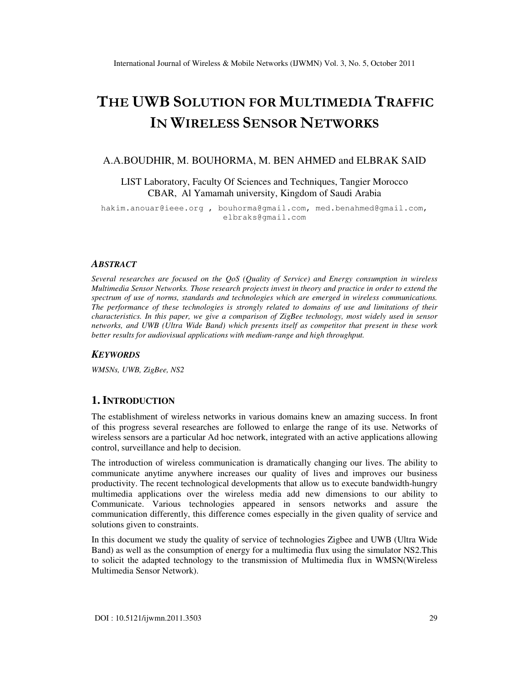# THE UWB SOLUTION FOR MULTIMEDIA TRAFFIC IN WIRELESS SENSOR NETWORKS

### A.A.BOUDHIR, M. BOUHORMA, M. BEN AHMED and ELBRAK SAID

LIST Laboratory, Faculty Of Sciences and Techniques, Tangier Morocco CBAR, Al Yamamah university, Kingdom of Saudi Arabia

hakim.anouar@ieee.org , bouhorma@gmail.com, med.benahmed@gmail.com, elbraks@gmail.com

#### *ABSTRACT*

*Several researches are focused on the QoS (Quality of Service) and Energy consumption in wireless Multimedia Sensor Networks. Those research projects invest in theory and practice in order to extend the spectrum of use of norms, standards and technologies which are emerged in wireless communications. The performance of these technologies is strongly related to domains of use and limitations of their characteristics. In this paper, we give a comparison of ZigBee technology, most widely used in sensor networks, and UWB (Ultra Wide Band) which presents itself as competitor that present in these work better results for audiovisual applications with medium-range and high throughput.* 

#### *KEYWORDS*

*WMSNs, UWB, ZigBee, NS2* 

## **1. INTRODUCTION**

The establishment of wireless networks in various domains knew an amazing success. In front of this progress several researches are followed to enlarge the range of its use. Networks of wireless sensors are a particular Ad hoc network, integrated with an active applications allowing control, surveillance and help to decision.

The introduction of wireless communication is dramatically changing our lives. The ability to communicate anytime anywhere increases our quality of lives and improves our business productivity. The recent technological developments that allow us to execute bandwidth-hungry multimedia applications over the wireless media add new dimensions to our ability to Communicate. Various technologies appeared in sensors networks and assure the communication differently, this difference comes especially in the given quality of service and solutions given to constraints.

In this document we study the quality of service of technologies Zigbee and UWB (Ultra Wide Band) as well as the consumption of energy for a multimedia flux using the simulator NS2.This to solicit the adapted technology to the transmission of Multimedia flux in WMSN(Wireless Multimedia Sensor Network).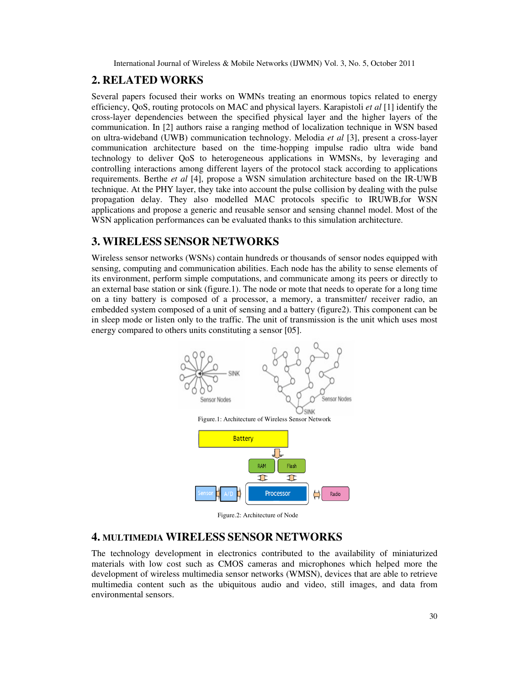# **2. RELATED WORKS**

Several papers focused their works on WMNs treating an enormous topics related to energy efficiency, QoS, routing protocols on MAC and physical layers. Karapistoli *et al* [1] identify the cross-layer dependencies between the specified physical layer and the higher layers of the communication. In [2] authors raise a ranging method of localization technique in WSN based on ultra-wideband (UWB) communication technology. Melodia *et al* [3], present a cross-layer communication architecture based on the time-hopping impulse radio ultra wide band technology to deliver QoS to heterogeneous applications in WMSNs, by leveraging and controlling interactions among different layers of the protocol stack according to applications requirements. Berthe *et al* [4], propose a WSN simulation architecture based on the IR-UWB technique. At the PHY layer, they take into account the pulse collision by dealing with the pulse propagation delay. They also modelled MAC protocols specific to IRUWB,for WSN applications and propose a generic and reusable sensor and sensing channel model. Most of the WSN application performances can be evaluated thanks to this simulation architecture.

# **3. WIRELESS SENSOR NETWORKS**

Wireless sensor networks (WSNs) contain hundreds or thousands of sensor nodes equipped with sensing, computing and communication abilities. Each node has the ability to sense elements of its environment, perform simple computations, and communicate among its peers or directly to an external base station or sink (figure.1). The node or mote that needs to operate for a long time on a tiny battery is composed of a processor, a memory, a transmitter/ receiver radio, an embedded system composed of a unit of sensing and a battery (figure2). This component can be in sleep mode or listen only to the traffic. The unit of transmission is the unit which uses most energy compared to others units constituting a sensor [05].



Figure.2: Architecture of Node

# **4. MULTIMEDIA WIRELESS SENSOR NETWORKS**

The technology development in electronics contributed to the availability of miniaturized materials with low cost such as CMOS cameras and microphones which helped more the development of wireless multimedia sensor networks (WMSN), devices that are able to retrieve multimedia content such as the ubiquitous audio and video, still images, and data from environmental sensors.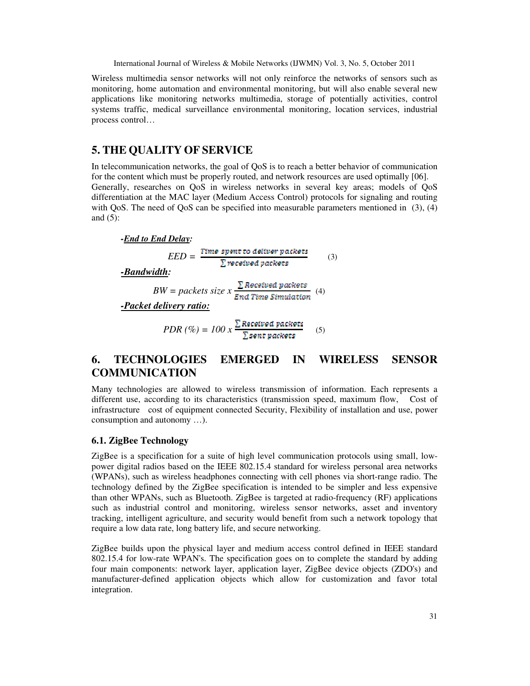Wireless multimedia sensor networks will not only reinforce the networks of sensors such as monitoring, home automation and environmental monitoring, but will also enable several new applications like monitoring networks multimedia, storage of potentially activities, control systems traffic, medical surveillance environmental monitoring, location services, industrial process control…

# **5. THE QUALITY OF SERVICE**

In telecommunication networks, the goal of QoS is to reach a better behavior of communication for the content which must be properly routed, and network resources are used optimally [06]. Generally, researches on QoS in wireless networks in several key areas; models of QoS differentiation at the MAC layer (Medium Access Control) protocols for signaling and routing with QoS. The need of QoS can be specified into measurable parameters mentioned in (3), (4) and  $(5)$ :

 *-End to End Delay: -Bandwidth: -Packet delivery ratio:*  $PDR (\%) = 100 x \frac{\sum Recsivesd packets}{\sum sent packets}$  (5)  $EED = \frac{Time\ spent\ to\ deliver\ packets}{\sum\ received\ packets}$  (3)  $BW = packets size \, x \, \frac{\sum \, Research \, packets}{End \, Time \, Simulation} \, (4)$ 

# **6. TECHNOLOGIES EMERGED IN WIRELESS SENSOR COMMUNICATION**

Many technologies are allowed to wireless transmission of information. Each represents a different use, according to its characteristics (transmission speed, maximum flow, Cost of infrastructure cost of equipment connected Security, Flexibility of installation and use, power consumption and autonomy …).

### **6.1. ZigBee Technology**

ZigBee is a specification for a suite of high level communication protocols using small, lowpower digital radios based on the IEEE 802.15.4 standard for wireless personal area networks (WPANs), such as wireless headphones connecting with cell phones via short-range radio. The technology defined by the ZigBee specification is intended to be simpler and less expensive than other WPANs, such as Bluetooth. ZigBee is targeted at radio-frequency (RF) applications such as industrial control and monitoring, wireless sensor networks, asset and inventory tracking, intelligent agriculture, and security would benefit from such a network topology that require a low data rate, long battery life, and secure networking.

ZigBee builds upon the physical layer and medium access control defined in IEEE standard 802.15.4 for low-rate WPAN's. The specification goes on to complete the standard by adding four main components: network layer, application layer, ZigBee device objects (ZDO's) and manufacturer-defined application objects which allow for customization and favor total integration.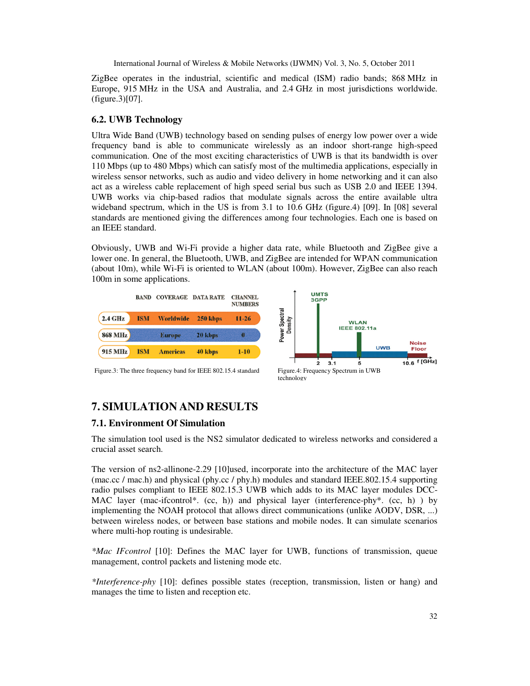ZigBee operates in the industrial, scientific and medical (ISM) radio bands; 868 MHz in Europe, 915 MHz in the USA and Australia, and 2.4 GHz in most jurisdictions worldwide. (figure.3)[07].

## **6.2. UWB Technology**

Ultra Wide Band (UWB) technology based on sending pulses of energy low power over a wide frequency band is able to communicate wirelessly as an indoor short-range high-speed communication. One of the most exciting characteristics of UWB is that its bandwidth is over 110 Mbps (up to 480 Mbps) which can satisfy most of the multimedia applications, especially in wireless sensor networks, such as audio and video delivery in home networking and it can also act as a wireless cable replacement of high speed serial bus such as USB 2.0 and IEEE 1394. UWB works via chip-based radios that modulate signals across the entire available ultra wideband spectrum, which in the US is from 3.1 to 10.6 GHz (figure.4) [09]. In [08] several standards are mentioned giving the differences among four technologies. Each one is based on an IEEE standard.

Obviously, UWB and Wi-Fi provide a higher data rate, while Bluetooth and ZigBee give a lower one. In general, the Bluetooth, UWB, and ZigBee are intended for WPAN communication (about 10m), while Wi-Fi is oriented to WLAN (about 100m). However, ZigBee can also reach 100m in some applications.



# **7. SIMULATION AND RESULTS**

# **7.1. Environment Of Simulation**

The simulation tool used is the NS2 simulator dedicated to wireless networks and considered a crucial asset search.

The version of ns2-allinone-2.29 [10]used, incorporate into the architecture of the MAC layer (mac.cc / mac.h) and physical (phy.cc / phy.h) modules and standard IEEE.802.15.4 supporting radio pulses compliant to IEEE 802.15.3 UWB which adds to its MAC layer modules DCC-MAC layer (mac-ifcontrol\*. (cc, h)) and physical layer (interference-phy\*. (cc, h) ) by implementing the NOAH protocol that allows direct communications (unlike AODV, DSR, ...) between wireless nodes, or between base stations and mobile nodes. It can simulate scenarios where multi-hop routing is undesirable.

*\*Mac IFcontrol* [10]: Defines the MAC layer for UWB, functions of transmission, queue management, control packets and listening mode etc.

*\*Interference-phy* [10]: defines possible states (reception, transmission, listen or hang) and manages the time to listen and reception etc.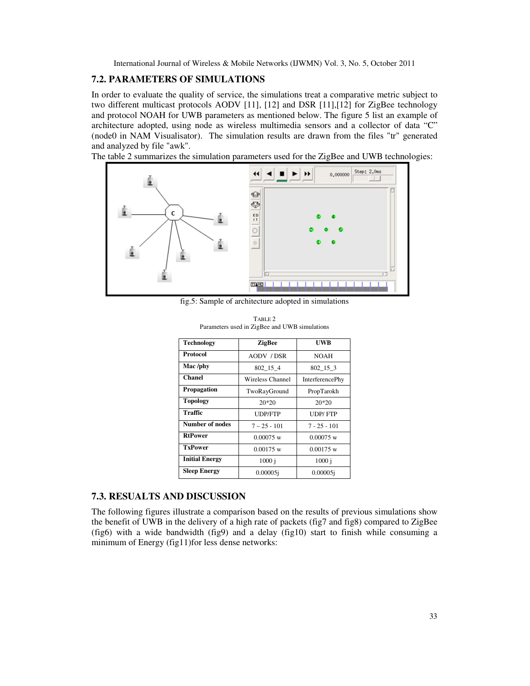### **7.2. PARAMETERS OF SIMULATIONS**

In order to evaluate the quality of service, the simulations treat a comparative metric subject to two different multicast protocols AODV [11], [12] and DSR [11],[12] for ZigBee technology and protocol NOAH for UWB parameters as mentioned below. The figure 5 list an example of architecture adopted, using node as wireless multimedia sensors and a collector of data "C" (node0 in NAM Visualisator). The simulation results are drawn from the files "tr" generated and analyzed by file "awk".

The table 2 summarizes the simulation parameters used for the ZigBee and UWB technologies:



fig.5: Sample of architecture adopted in simulations

| <b>Technology</b>      | <b>ZigBee</b>     | UWB                    |
|------------------------|-------------------|------------------------|
| <b>Protocol</b>        | <b>AODV / DSR</b> | <b>NOAH</b>            |
| Mac /phy               | 802 15 4          | 802 15 3               |
| <b>Chanel</b>          | Wireless Channel  | <b>InterferencePhy</b> |
| Propagation            | TwoRayGround      | PropTarokh             |
| <b>Topology</b>        | $20*20$           | $20*20$                |
| Traffic                | <b>UDP/FTP</b>    | <b>UDP/FTP</b>         |
| <b>Number of nodes</b> | $7 - 25 - 101$    | $7 - 25 - 101$         |
| <b>RtPower</b>         | $0.00075$ w       | $0.00075$ w            |
| <b>TxPower</b>         | $0.00175$ w       | $0.00175$ w            |
| <b>Initial Energy</b>  | 1000 i            | $1000$ i               |
| <b>Sleep Energy</b>    | $0.00005$ i       | 0.00005i               |

TABLE 2 Parameters used in ZigBee and UWB simulations

## **7.3. RESUALTS AND DISCUSSION**

The following figures illustrate a comparison based on the results of previous simulations show the benefit of UWB in the delivery of a high rate of packets (fig7 and fig8) compared to ZigBee (fig6) with a wide bandwidth (fig9) and a delay (fig10) start to finish while consuming a minimum of Energy (fig11)for less dense networks: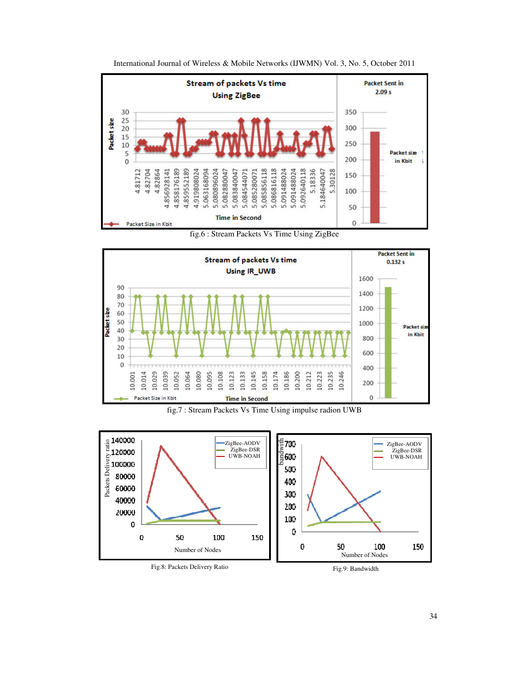

International Journal of Wireless & Mobile Networks (IJWMN) Vol. 3, No. 5, October 2011

fig.6 : Stream Packets Vs Time Using ZigBee





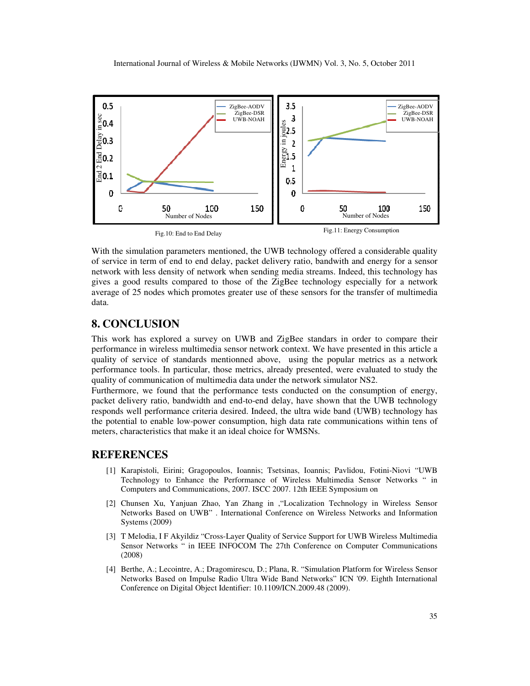

With the simulation parameters mentioned, the UWB technology offered a considerable quality of service in term of end to end delay, packet delivery ratio, bandwith and energy for a sensor network with less density of network when sending media streams. Indeed, this technology has gives a good results compared to those of the ZigBee technology especially for a network average of 25 nodes which promotes greater use of these sensors for the transfer of multimedia data.

# **8. CONCLUSION**

This work has explored a survey on UWB and ZigBee standars in order to compare their performance in wireless multimedia sensor network context. We have presented in this article a quality of service of standards mentionned above, using the popular metrics as a network performance tools. In particular, those metrics, already presented, were evaluated to study the quality of communication of multimedia data under the network simulator NS2.

Furthermore, we found that the performance tests conducted on the consumption of energy, packet delivery ratio, bandwidth and end-to-end delay, have shown that the UWB technology responds well performance criteria desired. Indeed, the ultra wide band (UWB) technology has the potential to enable low-power consumption, high data rate communications within tens of meters, characteristics that make it an ideal choice for WMSNs.

### **REFERENCES**

- [1] Karapistoli, Eirini; Gragopoulos, Ioannis; Tsetsinas, Ioannis; Pavlidou, Fotini-Niovi "UWB Technology to Enhance the Performance of Wireless Multimedia Sensor Networks " in Computers and Communications, 2007. ISCC 2007. 12th IEEE Symposium on
- [2] Chunsen Xu, Yanjuan Zhao, Yan Zhang in ,"Localization Technology in Wireless Sensor Networks Based on UWB" . International Conference on Wireless Networks and Information Systems (2009)
- [3] T Melodia, I F Akyildiz "Cross-Layer Quality of Service Support for UWB Wireless Multimedia Sensor Networks " in IEEE INFOCOM The 27th Conference on Computer Communications (2008)
- [4] Berthe, A.; Lecointre, A.; Dragomirescu, D.; Plana, R. "Simulation Platform for Wireless Sensor Networks Based on Impulse Radio Ultra Wide Band Networks" ICN '09. Eighth International Conference on Digital Object Identifier: 10.1109/ICN.2009.48 (2009).